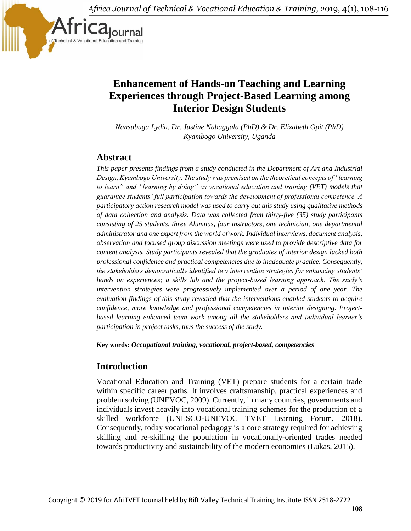*Africa Journal of Technical & Vocational Education & Training,* 2019, **4**(1), 108-116



# **Enhancement of Hands-on Teaching and Learning Experiences through Project-Based Learning among Interior Design Students**

*Nansubuga Lydia, Dr. Justine Nabaggala (PhD) & Dr. Elizabeth Opit (PhD) Kyambogo University, Uganda*

## **Abstract**

*This paper presents findings from a study conducted in the Department of Art and Industrial Design, Kyambogo University. The study was premised on the theoretical concepts of "learning to learn" and "learning by doing" as vocational education and training (VET) models that guarantee students' full participation towards the development of professional competence. A participatory action research model was used to carry out this study using qualitative methods of data collection and analysis. Data was collected from thirty-five (35) study participants consisting of 25 students, three Alumnus, four instructors, one technician, one departmental administrator and one expert from the world of work. Individual interviews, document analysis, observation and focused group discussion meetings were used to provide descriptive data for content analysis. Study participants revealed that the graduates of interior design lacked both professional confidence and practical competencies due to inadequate practice. Consequently, the stakeholders democratically identified two intervention strategies for enhancing students' hands on experiences; a skills lab and the project-based learning approach. The study's intervention strategies were progressively implemented over a period of one year. The evaluation findings of this study revealed that the interventions enabled students to acquire confidence, more knowledge and professional competencies in interior designing. Projectbased learning enhanced team work among all the stakeholders and individual learner's participation in project tasks, thus the success of the study.*

**Key words:** *Occupational training, vocational, project-based, competencies*

# **Introduction**

Vocational Education and Training (VET) prepare students for a certain trade within specific career paths. It involves craftsmanship, practical experiences and problem solving (UNEVOC, 2009). Currently, in many countries, governments and individuals invest heavily into vocational training schemes for the production of a skilled workforce (UNESCO-UNEVOC TVET Learning Forum, 2018). Consequently, today vocational pedagogy is a core strategy required for achieving skilling and re-skilling the population in vocationally-oriented trades needed towards productivity and sustainability of the modern economies (Lukas, 2015).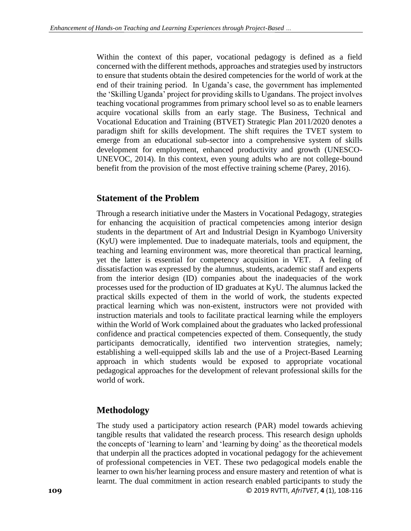Within the context of this paper, vocational pedagogy is defined as a field concerned with the different methods, approaches and strategies used by instructors to ensure that students obtain the desired competencies for the world of work at the end of their training period. In Uganda's case, the government has implemented the 'Skilling Uganda' project for providing skills to Ugandans. The project involves teaching vocational programmes from primary school level so as to enable learners acquire vocational skills from an early stage. The Business, Technical and Vocational Education and Training (BTVET) Strategic Plan 2011/2020 denotes a paradigm shift for skills development. The shift requires the TVET system to emerge from an educational sub-sector into a comprehensive system of skills development for employment, enhanced productivity and growth (UNESCO-UNEVOC, 2014). In this context, even young adults who are not college-bound benefit from the provision of the most effective training scheme (Parey, 2016).

## **Statement of the Problem**

Through a research initiative under the Masters in Vocational Pedagogy, strategies for enhancing the acquisition of practical competencies among interior design students in the department of Art and Industrial Design in Kyambogo University (KyU) were implemented. Due to inadequate materials, tools and equipment, the teaching and learning environment was, more theoretical than practical learning, yet the latter is essential for competency acquisition in VET. A feeling of dissatisfaction was expressed by the alumnus, students, academic staff and experts from the interior design (ID) companies about the inadequacies of the work processes used for the production of ID graduates at KyU. The alumnus lacked the practical skills expected of them in the world of work, the students expected practical learning which was non-existent, instructors were not provided with instruction materials and tools to facilitate practical learning while the employers within the World of Work complained about the graduates who lacked professional confidence and practical competencies expected of them. Consequently, the study participants democratically, identified two intervention strategies, namely; establishing a well-equipped skills lab and the use of a Project-Based Learning approach in which students would be exposed to appropriate vocational pedagogical approaches for the development of relevant professional skills for the world of work.

## **Methodology**

**109** © 2019 RVTTI, *AfriTVET*, **4** (1), 108-116 The study used a participatory action research (PAR) model towards achieving tangible results that validated the research process. This research design upholds the concepts of 'learning to learn' and 'learning by doing' as the theoretical models that underpin all the practices adopted in vocational pedagogy for the achievement of professional competencies in VET. These two pedagogical models enable the learner to own his/her learning process and ensure mastery and retention of what is learnt. The dual commitment in action research enabled participants to study the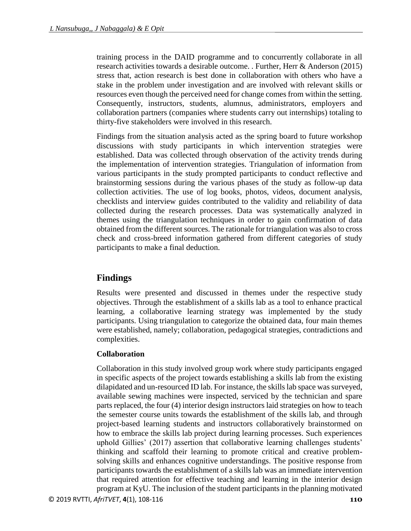training process in the DAID programme and to concurrently collaborate in all research activities towards a desirable outcome. . Further, Herr & Anderson (2015) stress that, action research is best done in collaboration with others who have a stake in the problem under investigation and are involved with relevant skills or resources even though the perceived need for change comes from within the setting. Consequently, instructors, students, alumnus, administrators, employers and collaboration partners (companies where students carry out internships) totaling to thirty-five stakeholders were involved in this research.

Findings from the situation analysis acted as the spring board to future workshop discussions with study participants in which intervention strategies were established. Data was collected through observation of the activity trends during the implementation of intervention strategies. Triangulation of information from various participants in the study prompted participants to conduct reflective and brainstorming sessions during the various phases of the study as follow-up data collection activities. The use of log books, photos, videos, document analysis, checklists and interview guides contributed to the validity and reliability of data collected during the research processes. Data was systematically analyzed in themes using the triangulation techniques in order to gain confirmation of data obtained from the different sources. The rationale for triangulation was also to cross check and cross-breed information gathered from different categories of study participants to make a final deduction.

# **Findings**

Results were presented and discussed in themes under the respective study objectives. Through the establishment of a skills lab as a tool to enhance practical learning, a collaborative learning strategy was implemented by the study participants. Using triangulation to categorize the obtained data, four main themes were established, namely; collaboration, pedagogical strategies, contradictions and complexities.

#### **Collaboration**

Collaboration in this study involved group work where study participants engaged in specific aspects of the project towards establishing a skills lab from the existing dilapidated and un-resourced ID lab. For instance, the skills lab space was surveyed, available sewing machines were inspected, serviced by the technician and spare parts replaced, the four (4) interior design instructors laid strategies on how to teach the semester course units towards the establishment of the skills lab, and through project-based learning students and instructors collaboratively brainstormed on how to embrace the skills lab project during learning processes. Such experiences uphold Gillies' (2017) assertion that collaborative learning challenges students' thinking and scaffold their learning to promote critical and creative problemsolving skills and enhances cognitive understandings. The positive response from participants towards the establishment of a skills lab was an immediate intervention that required attention for effective teaching and learning in the interior design program at KyU. The inclusion of the student participants in the planning motivated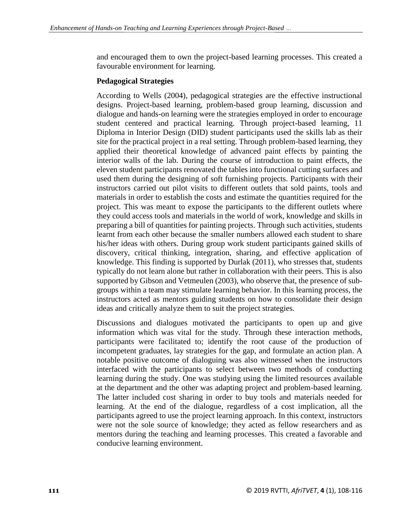and encouraged them to own the project-based learning processes. This created a favourable environment for learning.

#### **Pedagogical Strategies**

According to Wells (2004), pedagogical strategies are the effective instructional designs. Project-based learning, problem-based group learning, discussion and dialogue and hands-on learning were the strategies employed in order to encourage student centered and practical learning. Through project-based learning, 11 Diploma in Interior Design (DID) student participants used the skills lab as their site for the practical project in a real setting. Through problem-based learning, they applied their theoretical knowledge of advanced paint effects by painting the interior walls of the lab. During the course of introduction to paint effects, the eleven student participants renovated the tables into functional cutting surfaces and used them during the designing of soft furnishing projects. Participants with their instructors carried out pilot visits to different outlets that sold paints, tools and materials in order to establish the costs and estimate the quantities required for the project. This was meant to expose the participants to the different outlets where they could access tools and materials in the world of work, knowledge and skills in preparing a bill of quantities for painting projects. Through such activities, students learnt from each other because the smaller numbers allowed each student to share his/her ideas with others. During group work student participants gained skills of discovery, critical thinking, integration, sharing, and effective application of knowledge. This finding is supported by Durlak (2011), who stresses that, students typically do not learn alone but rather in collaboration with their peers. This is also supported by Gibson and Vetmeulen (2003), who observe that, the presence of subgroups within a team may stimulate learning behavior. In this learning process, the instructors acted as mentors guiding students on how to consolidate their design ideas and critically analyze them to suit the project strategies.

Discussions and dialogues motivated the participants to open up and give information which was vital for the study. Through these interaction methods, participants were facilitated to; identify the root cause of the production of incompetent graduates, lay strategies for the gap, and formulate an action plan. A notable positive outcome of dialoguing was also witnessed when the instructors interfaced with the participants to select between two methods of conducting learning during the study. One was studying using the limited resources available at the department and the other was adapting project and problem-based learning. The latter included cost sharing in order to buy tools and materials needed for learning. At the end of the dialogue, regardless of a cost implication, all the participants agreed to use the project learning approach. In this context, instructors were not the sole source of knowledge; they acted as fellow researchers and as mentors during the teaching and learning processes. This created a favorable and conducive learning environment.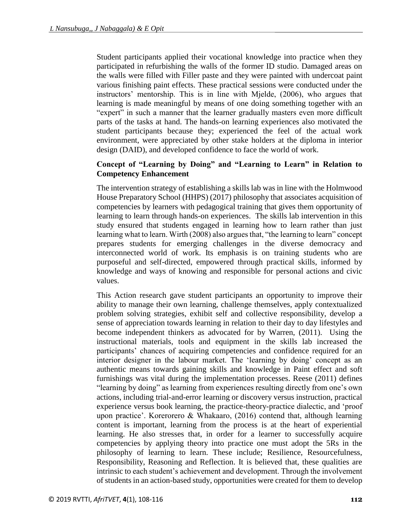Student participants applied their vocational knowledge into practice when they participated in refurbishing the walls of the former ID studio. Damaged areas on the walls were filled with Filler paste and they were painted with undercoat paint various finishing paint effects. These practical sessions were conducted under the instructors' mentorship. This is in line with Mjelde, (2006), who argues that learning is made meaningful by means of one doing something together with an "expert" in such a manner that the learner gradually masters even more difficult parts of the tasks at hand. The hands-on learning experiences also motivated the student participants because they; experienced the feel of the actual work environment, were appreciated by other stake holders at the diploma in interior design (DAID), and developed confidence to face the world of work.

#### **Concept of "Learning by Doing" and "Learning to Learn" in Relation to Competency Enhancement**

The intervention strategy of establishing a skills lab was in line with the Holmwood House Preparatory School (HHPS) (2017) philosophy that associates acquisition of competencies by learners with pedagogical training that gives them opportunity of learning to learn through hands-on experiences. The skills lab intervention in this study ensured that students engaged in learning how to learn rather than just learning what to learn. Wirth (2008) also argues that, "the learning to learn" concept prepares students for emerging challenges in the diverse democracy and interconnected world of work. Its emphasis is on training students who are purposeful and self-directed, empowered through practical skills, informed by knowledge and ways of knowing and responsible for personal actions and civic values.

This Action research gave student participants an opportunity to improve their ability to manage their own learning, challenge themselves, apply contextualized problem solving strategies, exhibit self and collective responsibility, develop a sense of appreciation towards learning in relation to their day to day lifestyles and become independent thinkers as advocated for by Warren, (2011). Using the instructional materials, tools and equipment in the skills lab increased the participants' chances of acquiring competencies and confidence required for an interior designer in the labour market. The 'learning by doing' concept as an authentic means towards gaining skills and knowledge in Paint effect and soft furnishings was vital during the implementation processes. Reese (2011) defines "learning by doing" as learning from experiences resulting directly from one's own actions, including trial-and-error learning or discovery versus instruction, practical experience versus book learning, the practice-theory-practice dialectic, and 'proof upon practice'. Korerorero & Whakaaro, (2016) contend that, although learning content is important, learning from the process is at the heart of experiential learning. He also stresses that, in order for a learner to successfully acquire competencies by applying theory into practice one must adopt the 5Rs in the philosophy of learning to learn. These include; Resilience, Resourcefulness, Responsibility, Reasoning and Reflection. It is believed that, these qualities are intrinsic to each student's achievement and development. Through the involvement of students in an action-based study, opportunities were created for them to develop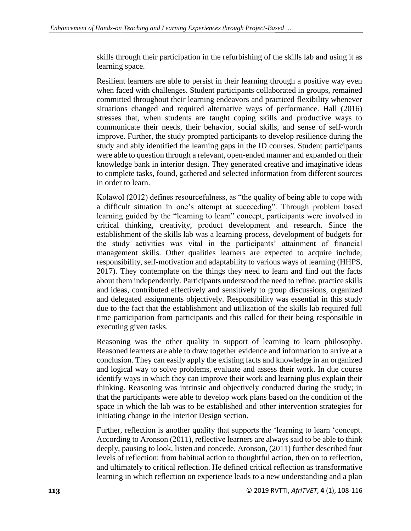skills through their participation in the refurbishing of the skills lab and using it as learning space.

Resilient learners are able to persist in their learning through a positive way even when faced with challenges. Student participants collaborated in groups, remained committed throughout their learning endeavors and practiced flexibility whenever situations changed and required alternative ways of performance. Hall (2016) stresses that, when students are taught coping skills and productive ways to communicate their needs, their behavior, social skills, and sense of self-worth improve. Further, the study prompted participants to develop resilience during the study and ably identified the learning gaps in the ID courses. Student participants were able to question through a relevant, open-ended manner and expanded on their knowledge bank in interior design. They generated creative and imaginative ideas to complete tasks, found, gathered and selected information from different sources in order to learn.

Kolawol (2012) defines resourcefulness, as "the quality of being able to cope with a difficult situation in one's attempt at succeeding". Through problem based learning guided by the "learning to learn" concept, participants were involved in critical thinking, creativity, product development and research. Since the establishment of the skills lab was a learning process, development of budgets for the study activities was vital in the participants' attainment of financial management skills. Other qualities learners are expected to acquire include; responsibility, self-motivation and adaptability to various ways of learning (HHPS, 2017). They contemplate on the things they need to learn and find out the facts about them independently. Participants understood the need to refine, practice skills and ideas, contributed effectively and sensitively to group discussions, organized and delegated assignments objectively. Responsibility was essential in this study due to the fact that the establishment and utilization of the skills lab required full time participation from participants and this called for their being responsible in executing given tasks.

Reasoning was the other quality in support of learning to learn philosophy. Reasoned learners are able to draw together evidence and information to arrive at a conclusion. They can easily apply the existing facts and knowledge in an organized and logical way to solve problems, evaluate and assess their work. In due course identify ways in which they can improve their work and learning plus explain their thinking. Reasoning was intrinsic and objectively conducted during the study; in that the participants were able to develop work plans based on the condition of the space in which the lab was to be established and other intervention strategies for initiating change in the Interior Design section.

Further, reflection is another quality that supports the 'learning to learn 'concept. According to Aronson (2011), reflective learners are always said to be able to think deeply, pausing to look, listen and concede. Aronson, (2011) further described four levels of reflection: from habitual action to thoughtful action, then on to reflection, and ultimately to critical reflection. He defined critical reflection as transformative learning in which reflection on experience leads to a new understanding and a plan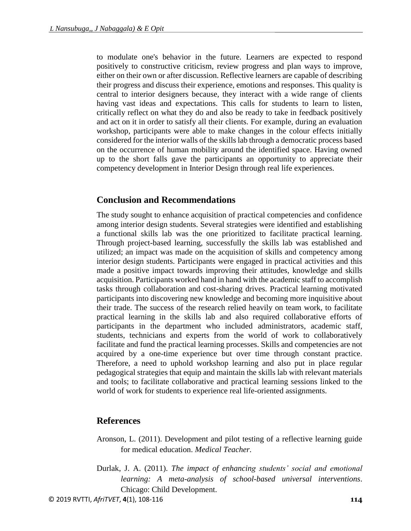to modulate one's behavior in the future. Learners are expected to respond positively to constructive criticism, review progress and plan ways to improve, either on their own or after discussion. Reflective learners are capable of describing their progress and discuss their experience, emotions and responses. This quality is central to interior designers because, they interact with a wide range of clients having vast ideas and expectations. This calls for students to learn to listen, critically reflect on what they do and also be ready to take in feedback positively and act on it in order to satisfy all their clients. For example, during an evaluation workshop, participants were able to make changes in the colour effects initially considered for the interior walls of the skills lab through a democratic process based on the occurrence of human mobility around the identified space. Having owned up to the short falls gave the participants an opportunity to appreciate their competency development in Interior Design through real life experiences.

## **Conclusion and Recommendations**

The study sought to enhance acquisition of practical competencies and confidence among interior design students. Several strategies were identified and establishing a functional skills lab was the one prioritized to facilitate practical learning. Through project-based learning, successfully the skills lab was established and utilized; an impact was made on the acquisition of skills and competency among interior design students. Participants were engaged in practical activities and this made a positive impact towards improving their attitudes, knowledge and skills acquisition. Participants worked hand in hand with the academic staff to accomplish tasks through collaboration and cost-sharing drives. Practical learning motivated participants into discovering new knowledge and becoming more inquisitive about their trade. The success of the research relied heavily on team work, to facilitate practical learning in the skills lab and also required collaborative efforts of participants in the department who included administrators, academic staff, students, technicians and experts from the world of work to collaboratively facilitate and fund the practical learning processes. Skills and competencies are not acquired by a one-time experience but over time through constant practice. Therefore, a need to uphold workshop learning and also put in place regular pedagogical strategies that equip and maintain the skills lab with relevant materials and tools; to facilitate collaborative and practical learning sessions linked to the world of work for students to experience real life-oriented assignments.

#### **References**

- Aronson, L. (2011). Development and pilot testing of a reflective learning guide for medical education. *Medical Teacher.*
- Durlak, J. A. (2011). *The impact of enhancing students' social and emotional learning: A meta-analysis of school-based universal interventions*. Chicago: Child Development.

© 2019 RVTTI, *AfriTVET*, **4**(1), 108-116 **114**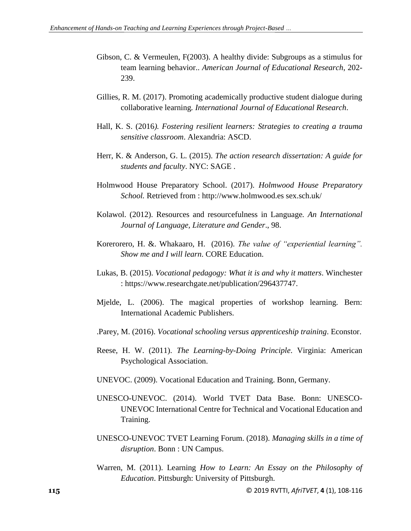- Gibson, C. & Vermeulen, F(2003). A healthy divide: Subgroups as a stimulus for team learning behavior.. *American Journal of Educational Research*, 202- 239.
- Gillies, R. M. (2017). Promoting academically productive student dialogue during collaborative learning*. International Journal of Educational Research*.
- Hall, K. S. (2016*). Fostering resilient learners: Strategies to creating a trauma sensitive classroom*. Alexandria: ASCD.
- Herr, K. & Anderson, G. L. (2015). *The action research dissertation: A guide for students and faculty*. NYC: SAGE .
- Holmwood House Preparatory School. (2017). *Holmwood House Preparatory School.* Retrieved from : http://www.holmwood.es sex.sch.uk/
- Kolawol. (2012). Resources and resourcefulness in Language*. An International Journal of Language, Literature and Gender*., 98.
- Korerorero, H. &. Whakaaro, H. (2016). *The value of "experiential learning". Show me and I will learn*. CORE Education.
- Lukas, B. (2015). *Vocational pedagogy: What it is and why it matters*. Winchester : https://www.researchgate.net/publication/296437747.
- Mjelde, L. (2006). The magical properties of workshop learning. Bern: International Academic Publishers.
- .Parey, M. (2016). *Vocational schooling versus apprenticeship training*. Econstor.
- Reese, H. W. (2011). *The Learning-by-Doing Principle*. Virginia: American Psychological Association.
- UNEVOC. (2009). Vocational Education and Training. Bonn, Germany.
- UNESCO-UNEVOC. (2014). World TVET Data Base. Bonn: UNESCO-UNEVOC International Centre for Technical and Vocational Education and Training.
- UNESCO-UNEVOC TVET Learning Forum. (2018). *Managing skills in a time of disruption*. Bonn : UN Campus.
- Warren, M. (2011). Learning *How to Learn: An Essay on the Philosophy of Education*. Pittsburgh: University of Pittsburgh.

**115** © 2019 RVTTI, *AfriTVET*, **4** (1), 108-116